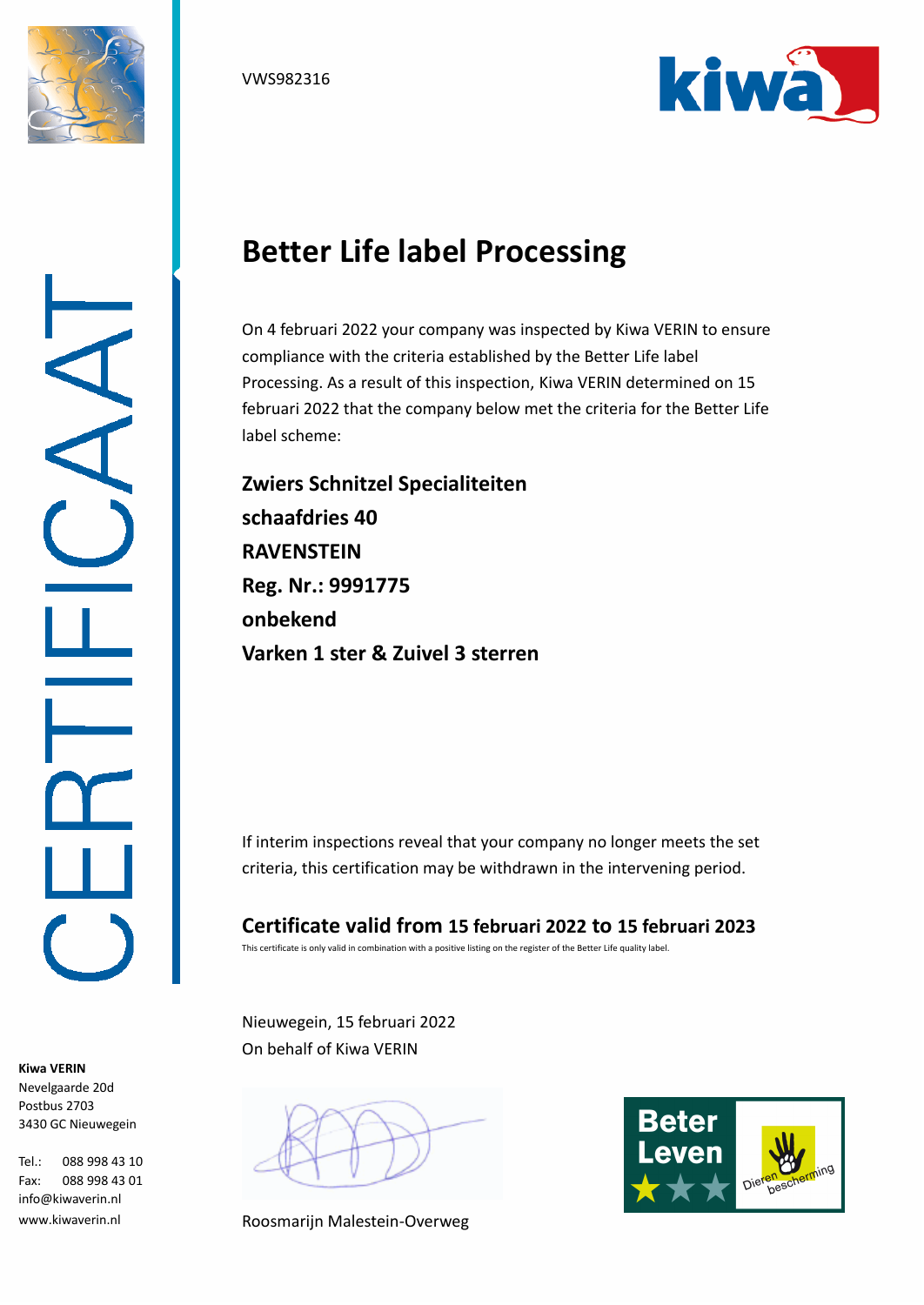





## **Better Life label Processing**

On 4 februari 2022 your company was inspected by Kiwa VERIN to ensure compliance with the criteria established by the Better Life label Processing. As a result of this inspection, Kiwa VERIN determined on 15 februari 2022 that the company below met the criteria for the Better Life label scheme:

**Zwiers Schnitzel Specialiteiten schaafdries 40 RAVENSTEIN Reg. Nr.: 9991775 onbekend Varken 1 ster & Zuivel 3 sterren**

If interim inspections reveal that your company no longer meets the set criteria, this certification may be withdrawn in the intervening period.

**Certificate valid from 15 februari 2022 to 15 februari 2023** This certificate is only valid in combination with a positive listing on the register of the Better Life quality label.

Nieuwegein, 15 februari 2022 On behalf of Kiwa VERIN

Roosmarijn Malestein-Overweg



**Kiwa VERIN** Nevelgaarde 20d Postbus 2703 3430 GC Nieuwegein

Tel.: 088 998 43 10 Fax: 088 998 43 01 info@kiwaverin.nl www.kiwaverin.nl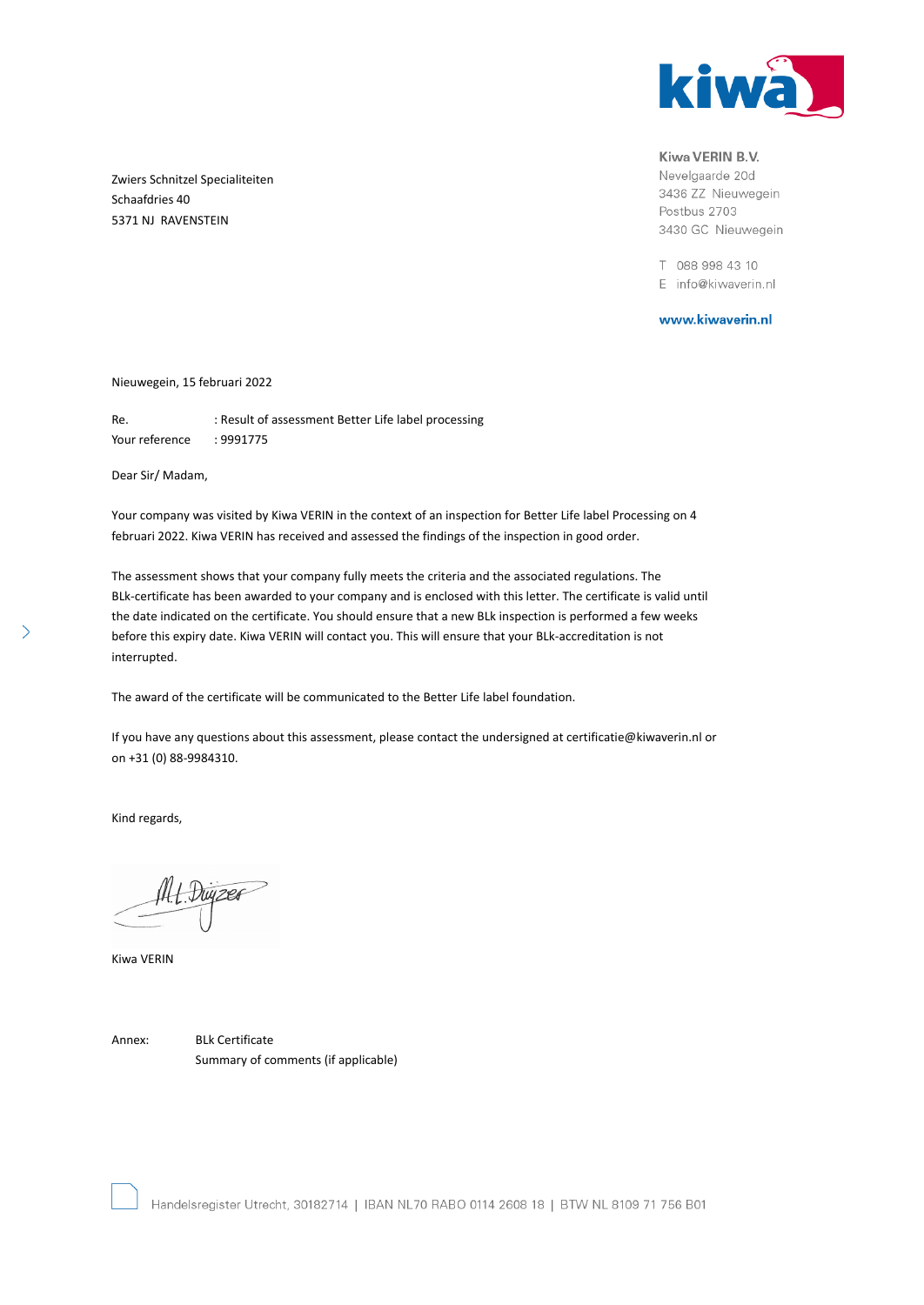

Kiwa VERIN B.V.

Nevelgaarde 20d 3436 ZZ Nieuwegein Postbus 2703 3430 GC Nieuwegein

T 088 998 43 10 E info@kiwaverin.nl

www.kiwaverin.nl

Zwiers Schnitzel Specialiteiten Schaafdries 40 5371 NJ RAVENSTEIN

Nieuwegein, 15 februari 2022

Re. : Result of assessment Better Life label processing Your reference : 9991775

Dear Sir/ Madam,

Your company was visited by Kiwa VERIN in the context of an inspection for Better Life label Processing on 4 februari 2022. Kiwa VERIN has received and assessed the findings of the inspection in good order.

The assessment shows that your company fully meets the criteria and the associated regulations. The BLk-certificate has been awarded to your company and is enclosed with this letter. The certificate is valid until the date indicated on the certificate. You should ensure that a new BLk inspection is performed a few weeks before this expiry date. Kiwa VERIN will contact you. This will ensure that your BLk-accreditation is not interrupted.

The award of the certificate will be communicated to the Better Life label foundation.

If you have any questions about this assessment, please contact the undersigned at certificatie@kiwaverin.nl or on +31 (0) 88-9984310.

Kind regards,

4. Duyzer

Kiwa VERIN

Annex: BLk Certificate Summary of comments (if applicable)

 $\left\langle \right\rangle$